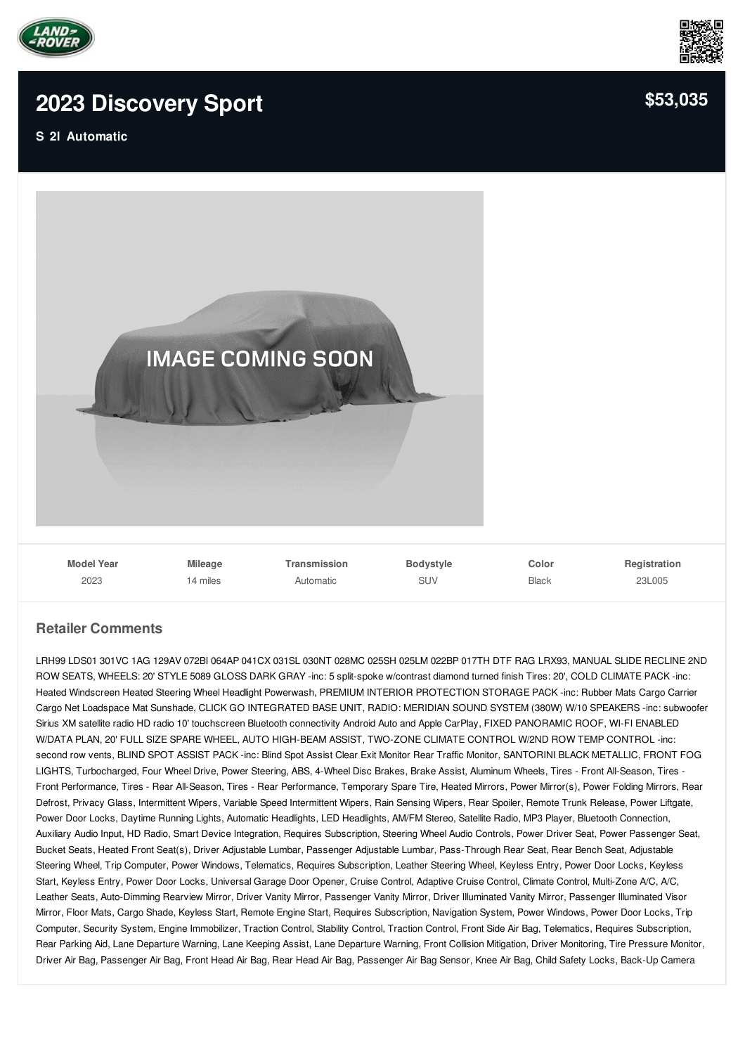

## **2023 [Discovery](/new/pdf/) Sport**

**S 2l Automatic**



## **Retailer Comments**

LRH99 LDS01 301VC 1AG 129AV 072BI 064AP 041CX 031SL 030NT 028MC 025SH 025LM 022BP 017TH DTF RAG LRX93, MANUAL SLIDE RECLINE 2ND ROW SEATS, WHEELS: 20' STYLE 5089 GLOSS DARK GRAY -inc: 5 split-spoke w/contrast diamond turned finish Tires: 20', COLD CLIMATE PACK -inc: Heated Windscreen Heated Steering Wheel Headlight Powerwash, PREMIUM INTERIOR PROTECTION STORAGE PACK -inc: Rubber Mats Cargo Carrier Cargo Net Loadspace Mat Sunshade, CLICK GO INTEGRATED BASE UNIT, RADIO: MERIDIAN SOUND SYSTEM (380W) W/10 SPEAKERS -inc: subwoofer Sirius XM satellite radio HD radio 10' touchscreen Bluetooth connectivity Android Auto and Apple CarPlay, FIXED PANORAMIC ROOF, WI-FI ENABLED W/DATA PLAN, 20' FULL SIZE SPARE WHEEL, AUTO HIGH-BEAM ASSIST, TWO-ZONE CLIMATE CONTROL W/2ND ROW TEMP CONTROL -inc: second row vents, BLIND SPOT ASSIST PACK -inc: Blind Spot Assist Clear Exit Monitor Rear Traffic Monitor, SANTORINI BLACK METALLIC, FRONT FOG LIGHTS, Turbocharged, Four Wheel Drive, Power Steering, ABS, 4-Wheel Disc Brakes, Brake Assist, Aluminum Wheels, Tires - Front All-Season, Tires - Front Performance, Tires - Rear All-Season, Tires - Rear Performance, Temporary Spare Tire, Heated Mirrors, Power Mirror(s), Power Folding Mirrors, Rear Defrost, Privacy Glass, Intermittent Wipers, Variable Speed Intermittent Wipers, Rain Sensing Wipers, Rear Spoiler, Remote Trunk Release, Power Liftgate, Power Door Locks, Daytime Running Lights, Automatic Headlights, LED Headlights, AM/FM Stereo, Satellite Radio, MP3 Player, Bluetooth Connection, Auxiliary Audio Input, HD Radio, Smart Device Integration, Requires Subscription, Steering Wheel Audio Controls, Power Driver Seat, Power Passenger Seat, Bucket Seats, Heated Front Seat(s), Driver Adjustable Lumbar, Passenger Adjustable Lumbar, Pass-Through Rear Seat, Rear Bench Seat, Adjustable Steering Wheel, Trip Computer, Power Windows, Telematics, Requires Subscription, Leather Steering Wheel, Keyless Entry, Power Door Locks, Keyless Start, Keyless Entry, Power Door Locks, Universal Garage Door Opener, Cruise Control, Adaptive Cruise Control, Climate Control, Multi-Zone A/C, A/C, Leather Seats, Auto-Dimming Rearview Mirror, Driver Vanity Mirror, Passenger Vanity Mirror, Driver Illuminated Vanity Mirror, Passenger Illuminated Visor Mirror, Floor Mats, Cargo Shade, Keyless Start, Remote Engine Start, Requires Subscription, Navigation System, Power Windows, Power Door Locks, Trip Computer, Security System, Engine Immobilizer, Traction Control, Stability Control, Traction Control, Front Side Air Bag, Telematics, Requires Subscription, Rear Parking Aid, Lane Departure Warning, Lane Keeping Assist, Lane Departure Warning, Front Collision Mitigation, Driver Monitoring, Tire Pressure Monitor, Driver Air Bag, Passenger Air Bag, Front Head Air Bag, Rear Head Air Bag, Passenger Air Bag Sensor, Knee Air Bag, Child Safety Locks, Back-Up Camera